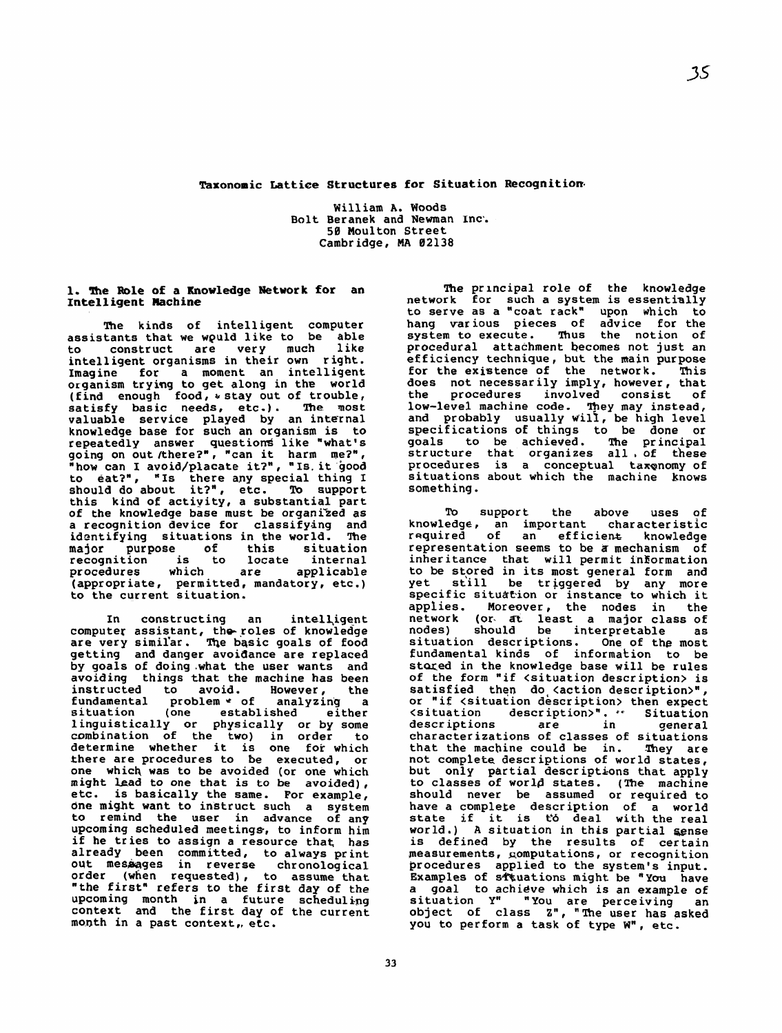**Taxonomic Lattice Structures for Situation Recognitiom** 

William **A.** Woods Bolt Beranek and Newman Inc'. 50 Moulton Street Cambridge, **MA** 02138

## **1. The Role of a Knowledge Network for an Intelligent Machine**

The kinds of intelligent computer assistants that **we** wguld like to be able to construct intelligent organisms in their own **r** iqht. Imagine for a moment an intelligent organism trying to get along in the world (find enough food , \* stay out of trouble, satisfy **basic needs, etc.). The most**  valuable service played by an internal knowledge **base** for such an organism is to repeatedly answer questions like "what's going on out /there?" , "can it harm **me?"** , "how can I avoid/placate it?", "Is. it 'good to eat?", **wIs** there any special thing I should do about it?", etc. this kind of activity, a substantial part of the knowledge base must be organi>ed **as**  a recognition device for classifying and<br>identifying situations in the world. The identifying situations in the world. major purpose of this situation<br>recognition is to locate internal recognition is to lom<br>procedures which are applicable (appropriate, permitted, mandatory, etc .) to the current situation.

In constructing an intelligent computer assistant, the- roles of knowledge are very simil'ar. The basic goals of food getting and danger avoidance are replaced **by** goals of doing .what the **user** wants and avoiding things **that** the **machine** has been instructed to avoid. However, the<br>fundamental problem • of analyzing a fundamental problem \* of analyzing a<br>situation (one established either established either linguistically or physically or by some<br>combination of the two) in order to  $combination$  of the two) in order determine whether it is one for which there are procedures to **Be** executed, or one which was to be avoided (or one which<br>might lead to one that is to be avoided), might lead to one that is to be avoided),<br>etc. is basically the same. For example, **dne** might want to instruct such a system to remind the user in advance of any upcoming scheduled **meetings,** to inform him if he tries to assign a resource that **has**  already **been** committed, to **always** print out messages in reverse chronological order (when requested), to assume **that**  "the first" refers to the first day of the upcoming month in a future scheduling context and the first **day** of the current month in a past context, etc.

**Ihe** principal role of the **knowledge**  network **for** such a system is essentially to serve as a "coat rack" hang various pieces of advice for the<br>system to execute. Thus the notion of system to execute. Thus **the** notion of procedural **attachment** becomes not **just** an efficiency technique, but the main purpose for the existence of the network. **This**  does not necessarily imply, however, that<br>the procedures involved consist of the procedures involved consist of low-level machine code. They may instead, and probably usually will, be high level specifications of things to be done or<br>goals to be achieved. The principal goals to be achieved. structure that organizes all, of these procedures is a conceptual taxenomy of situations about which the machine knows<br>something.

support the above uses of To support the above uses of<br>knowledge, an important characteristic required of an **eff** icienk knowledge representation seems to be **a** mechanism of inheritance that will permit information to be **stored** in **its** most general form and yet still be triggered by any more specific situation or instance to which it<br>applies. Moreover, the nodes in the Moreover, the nodes in the network (or. **at** least a major class of nodes) should be interpretable as situation descriptions. One of the most fundamental kinds of information to be stored in the knowledge base will be rules of the form "if <situation description> is satisfied then do (action description)", or "if <situation description> then expect<br>
<situation description>", " Situation description>". \*\* Situation descriptions are in general<br>characterizations of classes of situations that the machine could he in. They are not complete descriptions of world states, but only partial descriptions that apply to classes of **worla** states. **(The** machine should never be assumed or required to have a complete description of a world state if it is to deal with the real world.) A situation in this partial sense is defined by **the** results of **certain**  measurements, computations, or recognition procedures applied to the system's input. Examples of s\*uations might be **'You** have a **goal to achieve** which is **an** example of situation Y" "You are perceiving an object of **class Z", "'Ihe user** has **asked**  you to perform a **task** of **type Wn, etc.** 

 $33<sub>°</sub>$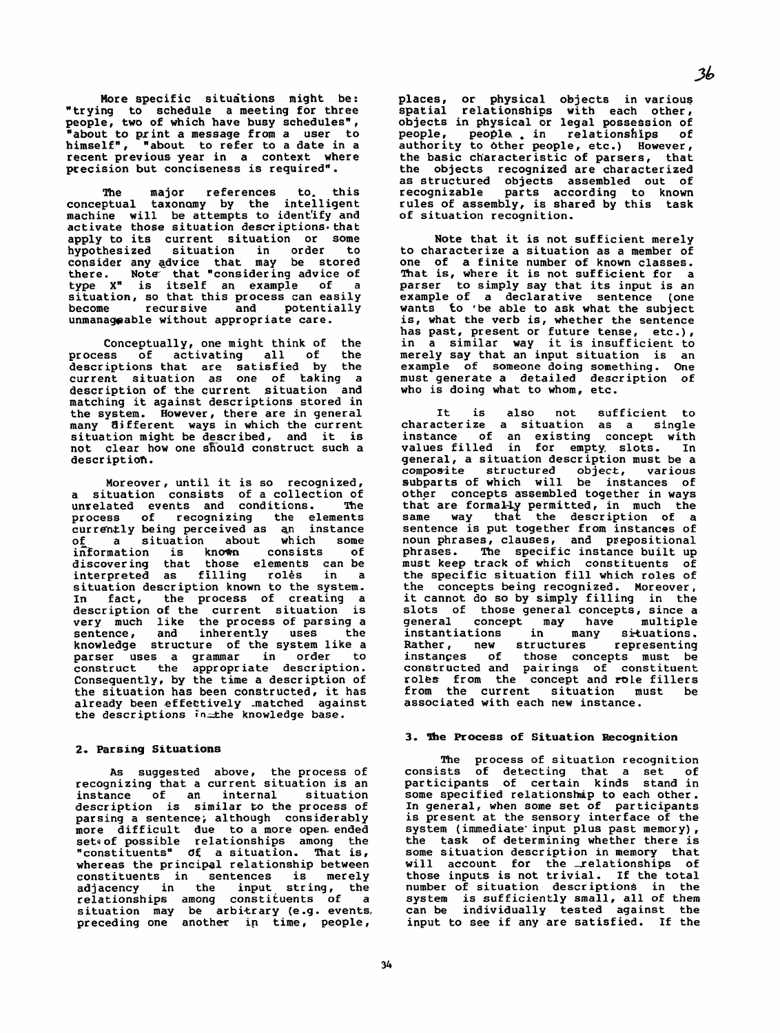Conceptually, one might think of the process of activating all of the descriptions that are satisfied by the current situation **as** one of taking a description of the current situation and matching it against descriptions stored in the system. However, there are in general many **t3i** fferent ways in which the current situation might be described, and it is not clear how one should construct such a description.

More specific situations might be: "trying to schedule a meeting for three people, two of which have busy schedules", "about to print a message from a user to himself", "about to refer to a date in a recent previous year in a context where precision but conciseness is required".

The major references to. this conceptual taxonamy by the intelligent machine will be attempts to ident'ify and activate those situation descriptions that apply to its current situation or some<br>hypothesized situation in order to hypothesized consider any gdvice that may be stored there. Note' that "considering advice of type X<sup>"</sup> is itself an example of a situation, so that this process can easily become recursive and potentially unmanageable without appropriate care.

Moreover, until it is so recognized, a situation consists of a collection of unrelated events and conditions. The<br>process of recognizing the elements process of recognizing the elements currdn&ly being perceived as **an** instance of a situation about which some<br>information is known consists of discovering that those elements can be interpreted as filling rolès in a situation descr iption known to the system. In fact, the process of creating a description of the current situation is very much like the process of parsing a sentence, and inherently uses the knowledge structure of the system like a parser uses a grammar in order to construct the appropr iate description . Consequently, by the time a description of the situation has been constructed, it has already been effectively matched against the descriptions in the knowledge base.

#### **2, Parsing Situations**

As suggested above, the process of recognizing that a current situation is an<br>instance of an internal situation instance of an internal description is similar to the process of parsing a sentence; although considerably more difficult due to a more open- ended setv of possible relationships among the "constituents" of a situation. That is, whereas the principal relationship between<br>constituents in sentences is merely constituents in sentences is merely<br>adjacency in the input string, the input string, the relationships among constituents of a situation may be arbitrary (e.g. events, preceding one another in time, people,

places, or physical objects in various spatial relationships with each other, objects in physical or legal possession of people, people , **in** relationships of people, people in relationships of<br>authority to other people, etc.) However, the basic character istic of parsers, that the objects recognized are characterized as structured objects assembled out of recognizable parts according to known rules of assembly, is shared by this task of situation recognition.

Note that it is not sufficient merely to characterize a situation as a member of one of a finite number of known classes. That is, where it is not sufficient for a parser to simply say that its input is an example of a declarative sentence (one wants to 'be able to ask what the subject is, what the verb is, whether the sentence has past, present or future tense, etc.) , in a similar way it 'is insufficient to merely **say** that an input situation is an example of someone doing something. One must generate a detailed description of who is doing what to whom, etc.

It is also not sufficient to characterize a situation as a single instance of an existing concept with values filled in fcr empty, slots. In general, a situation description must be a composite structured object, various subparts of which will be instances of other concepts assembled together in ways that are formally permitted, in much the same way that the description of a sentence is put together from instances of noun phrases, clauses, and prepositional phrases. The specific instance built up **must keep** track of which constituents of the specific situation fill which roles of the concepts being recognized. Moreover, it cannot do so by simply filling in the slots of those general concepts, since a general concept may have multiple instantiations in many situations. Rather, new structures representing instances of those concepts must be constructed and pairings of constituent roles from the concept and role fillers from the current situation must be associated with each new instance.

#### **3. lhe Process of Situation Recognition**

The process of situation recognition consists of detecting that a set of participants of certain kinds stand in some specified relationship to each other. In general, **when** some **set** of participants is present at the sensory interface of the system (immediate' input plus past memory) , the task of determining whether there is some situation description in memory that will account for the relationships of those inputs is not trivial. If the total number of situation descriptions in the **system** is sufficiently **small,** all of them can be individually tested against the input to see if any are satisfied. If the

 $34$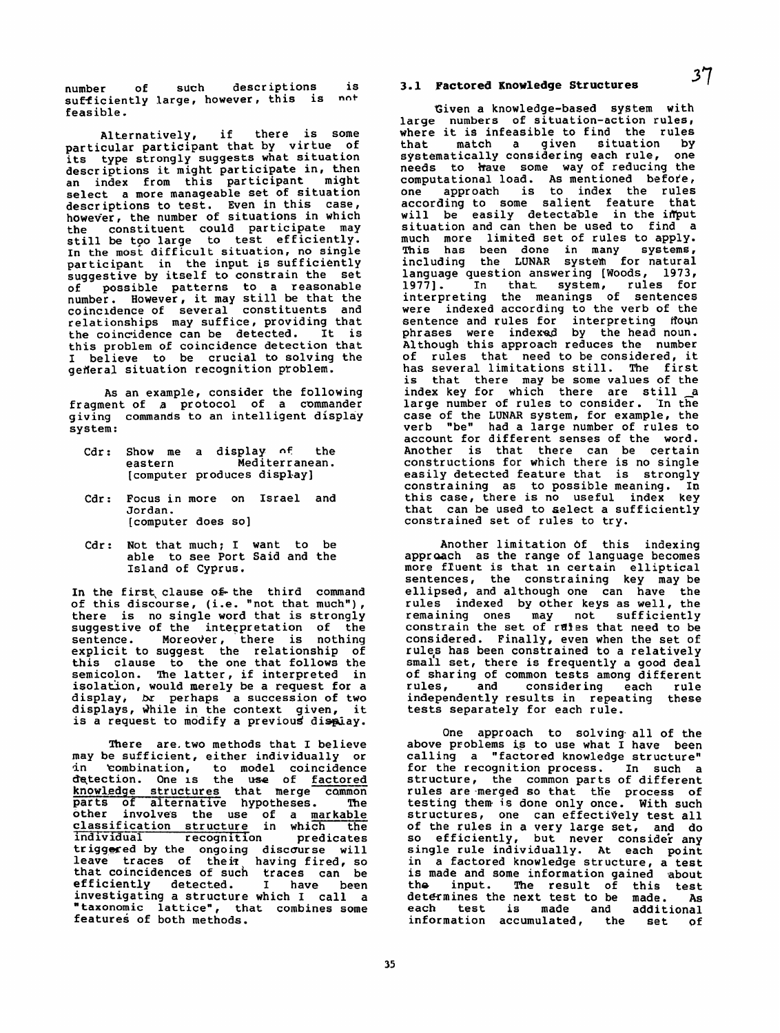number of such descriptions is sufficiently large, however, this is **no+**  feasible.

Alternatively, if there is some particular participant that by virtue of its type strongly suggests what situation descriptions it might participate in, then<br>an index from this participant might an index from this participant select a more manageable set of situation descriptions to test. Even in this case, however, the number of situations in which the constituent could participate may still be too large to test efficiently. In the most difficult situation, no single<br>participant in the input is sufficiently suggestive by itself to constrain the set of possible patterns to a reasonable number. However, it may still be that the coincidence of several constituents and relationships may suffice, providing that the coincidence can be detected. It is this problem of coincidence detection that I believe to be crucial to solving the general situation recognition problem.

As an example, consider the following fragment of a protocol of a commander giving commands to an intelligent display system:

- **Cdr: Show** me a display **nf** the eastern Mediterranean. [computer produces dispLay]
- Cdr: Focus in more on Israel and Jordan. [computer does so]
- Cdr: Not that much; I want to be able to see Port Said and the Island of Cyprus.

In the first clause of the third command of this discourse, **(i.e.** "not that much"), there is no single word that is strongly suggestive of the interpretation of the sentence. Moreover, there is nothing<br>explicit to suggest the relationship of this clause to the one that follows the semicolon. The latter, if interpreted in isolation, would merely be a request for a display, br perhaps a succession of two displays, while in the context given, it is a request to modify a previous display.

There are. two methods that I believe may be sufficient, either individually or in combination, to model coincidence In combination, to model coincidence<br>detection. One is the use of <u>factored</u> knowledge structures that merge common parts of alternative hypotheses. The other involves the use of a markable classification structure in which the individual recognition predicates triggered by the ongoing discourse will leave traces of their having fired, so that coincidences of such traces can be efficiently detected. I have been investigating a structure which **I** call a "taxonomic latticen, that combines **some**  features of both methods.

# **3.1 Factored Knowledge Structures** *37*

Given a knowledge-based system with large numbers of situation-action **rules,**  where it is infeasible to find the rules<br>that match a given situation by situation systematically considering each rule, one needs to have some way of reducing the computational load. As mentioned before, one approath is to index the rules according to some salient feature that will be easily detectable in the imput situation and can then be used to find a much more limited set of rules to apply. **This** has been done in many systems, including the LUNAR system for natural language question answering [Woods, 1973, 19771. In that system, rules for interpreting the meanings of sentences were indexed according to the verb of the sentence and rules for interpreting floun phrases were indexed by the head noun. Although this approach reduces the number of rules that need to be considered, it has several limitations still. The first is that there **may** be some values of the index key for which there are still a large number **of** rules to consider. 'In the case of the LUNAR system, for example, the verb "be" had a large number of rules to account for different senses of the word. Another is that there can be certain constructions for which there is no single easily detected feature that is strongly constraining as to possible meaning. In this case, there is no useful index key that can be used to select a sufficiently constrained set of rules to try.

Another limitation **Of** this indexing approach as the range of language becomes more fluent is that in certain elliptical sentences, the constraining key may be ellipsed, and although one can have the rules indexed by other keys as well, the remaining ones may not sufficiently constrain the set of rules that need to be considered. Finally, even when the set of rules has been constrained to a relatively small set, there is frequently a good deal of sharing of common tests among different rules , and considering each rule independently results in repeating these tests separately for each rule.

One approach to solving- all of the above problems **is** to use what I have been calling a "factored knowledge structure" for the recognition process. In such a structure, the common parts of different rules are-merged so that th'e process of testing them **is** done only once. With such structures, one can effectively test all of the rules in a very large set, and do so efficiently, but never consider any single rule individually. At each point in a factored knowledge structure, a test is made and some information gained about<br>the input. The result of this test The result of this test determines the next test to be made. **As**  each test is made and additional information accumulated, the set **of** 

 $35<sub>5</sub>$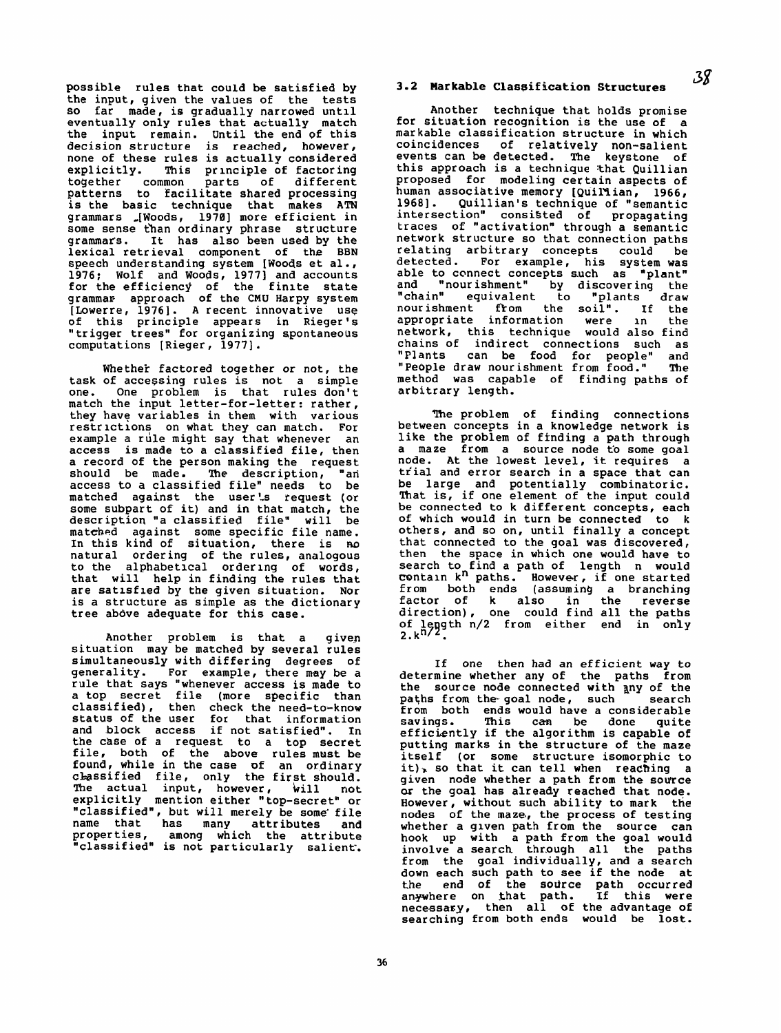possible rules that could be satisfied by the input, given the values of the tests **so** far made, is gradually narrowed until eventually only rules that actually match the input remain. Until the end of this decision structure is reached, however, none of these rules is actually considered<br>explicitly. This principle of factoring This principle of factoring together common parts of different patterns to facilitate shared processing is the basic technique that makes **ATN**  grammars ,[Woods, 19701 more efficient in some sense than ordinary phrase structure<br>grammars. It has also been used by the It has also been used by the lexical retrieval component of the **BBN**  speech understanding system [Woods et a1 . , 1976; Wolf and Woods, 1977] and accounts for the efficiency of the finite state grammar? approach of the **CMU** Harpy **system**  [Lowerre, 19761. **A** recent innovative use "trigger trees" for organizing spontaneous computations [Rieger, 1977].

Whether factored together or not, the task of accessing rules is not a simple<br>one. One problem is that rules don't one, One problem **is** that rules don't match the input letter-for-letter: rather, they have variables in **them** with various restrictions on what they can match. For example a rile might say that whenever an access is made to a classified file, then a record of the person making the request should be made. The description, "an access to a classified file" needs to be matched against the user's request (or some subpart of it) and in that match, the description "a classified file" will be matched against some specific file name. In this kind of situation, there is no natural ordering of the rules, analogous to the alphabetical ordering of **words, that** will help in finding the rules that are **satlsfled** by **the** given situation. Nor is a structure as simple **as** the dictionary tree above adequate for this case.

Another problem is that a given situation may be matched by several rules simultaneously with differing degrees of generality. For example, there **my** be a rule that says "whenever access is made to a top secret file (more specific than classified), then check the need-to-know status of the user for that information and block access if not satisfied". In the case of a request to a top secret file, both of the above rules must be found, while in the case **of** an ordinary cbassified file, only the first should. **The** actual input, however, bill not explicitly mention either "top-secret" or "classified", but will merely be some file

name that has many attributes and proper ties, among which the attribute "classified" is not particularly salient.

36

The problem of finding connections between concepts in a knowledge network is like the problem **of** finding a path through a maze from a source node to some goal node. At the lowest level, it requires a tf'ial and error search in a space that can be large and potentially combinatoric. **That** is, if one element of the input could be connected to k different concepts, each of which would in turn be connected to k others, and so on, until finally a concept that connected to the goal was discovered, then the space in **which** one would have to search to find a path of length n would contain  $k^n$  paths. However, if one started from both ends **(assuming** a branching factor of k also in the reverse direction), one could find all the paths of length n/2 from either end in only 2.k<sup>n/2</sup>.

# **3.2 Markable Classification Structures 3g**

Another technique that holds promise for situation recognition is **the** use of a markable classification structure in which coincidences of relatively non-salient events can be detected. The keystone of this approach is a technique that Quillian proposed for modeling certain aspects of<br>human associative memory [Quil'Lian, 1966, human associative memory [Quillian, 1966,<br>1968]. Quillian's technique of "semantic intersection" consiSted of propagating traces of "activation" through a semantic network structure **so** that connection paths relating arbitrary concepts could be detected. For example, his system was able to connect concepts such as "plant"<br>and "nourishment" by discovering the and "nour ishment" by discover inq **the**  "chainw equivalent to "plants draw nourishment from the soil". If the appropr iate information were in the network, this technique would also find chains of indirect connections such as<br>"Plants can be food for people" and can be food for people" and "People draw nourishment **from** food," **The**  method was capable of finding paths of arbitrary **length.** 

If one then had an efficient **way** to determine whether any of the paths from the source node connected with any of the **paths** from the- goal node, such search from both ends would have a considerable savings. This **can** be done quite efficiently if the algorithm is capable of putting marks in the structure of the maze itself (or some structure isomorphic to it), so that it can tell when reaching a given node whether a path from the source **or** the goal has already reached that node. However, without such ability to mark the nodes of the maze>, the process of testing whether a given path from the source can hook up with a path from the goal would involve a search through all the paths<br>from the goal individually, and a search down each such path to **see** if the node at **the end** of the *sodrce* path occurred anywhere on that path, If this were necessary, then all of the advantage of searching from both ends would be **lost,**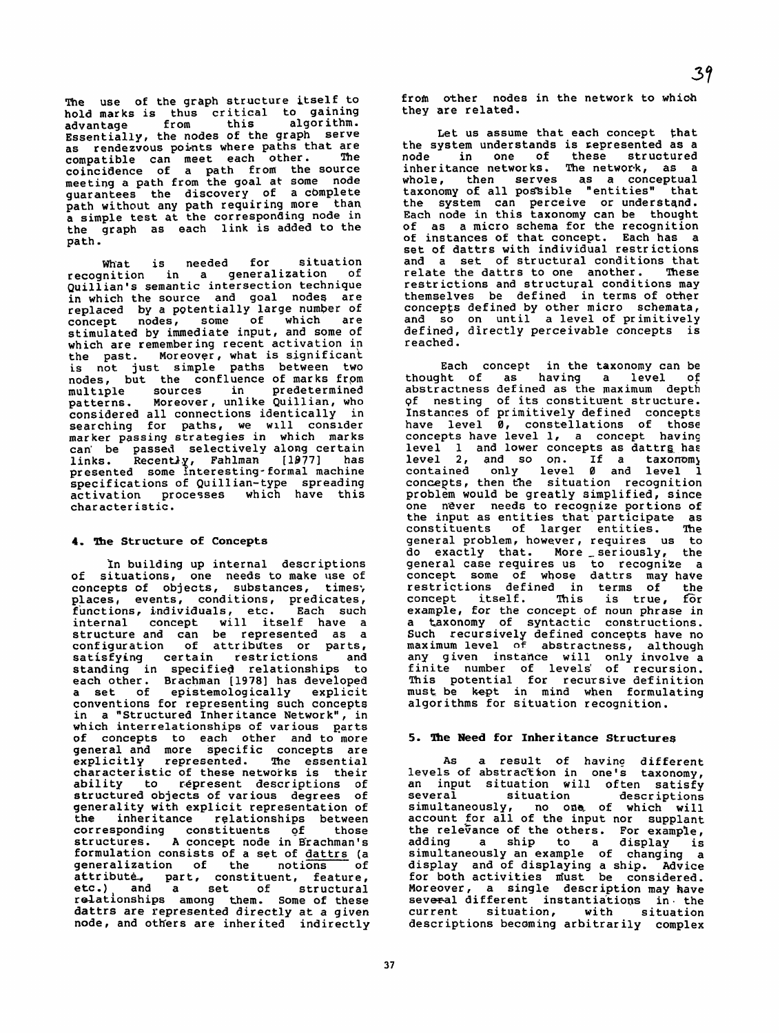**The** use of the graph structure itself to hold marks is thus critical to gaining<br>advantage from this algorithm. algorithm. Essentially, the nodes of the graph serve as rendezvous points where paths that are<br>compatible can meet each other. The compatible can meet each other. coincidence of a path from the source meeting a path from the goal at some node<br>guarantees the discovery of a complete path without any path requiring more than a simple test at the corresponding node in the graph as each link is added to the path.

What is needed for situation<br>Inition in a generalization of recognition in a generalization Quillian's semantic intersection technique in which the source and goal nodes are replaced by a potentially large number of<br>concept nodes, some of which are concept nodes, some of which stimulated by immediate input, and some of which are remembering recent activation in<br>the past. Moreover, what is significant the past. Moreover, what is significant<br>is not just simple paths between two nodes, but the confluence of marks from<br>multiple sources in predetermined patterns. Moreover, unlike Quillian, who considered all connections identically in searching for paths, we will conslder marker passing strategies in which marks can' be passed selectively along certain links. Recently, Fahlman [1977] has presented some interesting-formal machine specifications of Quillian-type spreading activation processes which have this character istic.

#### **4, The Structure of Concepts**

In building up internal descriptions of situations, one needs to make **use** of concepts of objects, substances, times; places, events, conditions, predicates, functions, individuals, etc . Each such functions, individuals, etc. Each such<br>internal concept will itself have a structure and can be represented as a configuration of attributes or parts, satisfying certain restrictions and standing in specified relationships to each other. Brachman [1978] has developed a set of epistemologically explicit conventions for representing such concepts<br>in a "Structured Inheritance Network", in which interrelationships of various parts of concepts to each other and to more general and more specific concepts are explicitly represented. The essential character istic of these networks is their ability to répresent descriptions of structured objects of various degrees of generality with explicit representation of the inheritance relationships between corresponding constituents of those structures. A concept node in Brachman's formulation consists of a set of dattrs (a generalization of the notions of attribute, part, constituent, feature, etc.) and a set of structural relationships among them. Some of these dattrs are represented directly at a **given**  node, and others are inherited indirectly

from other nodes in the network to **which**  they are related.

Let us assume that each concept that the system understands is represented as a<br>node in one of these structured node in one of these structured inheritance networks. **The** network, **as** a whole, then serves **as** a conceptual taxonomy of all possible "entities" that the system can perceive or understqnd. Each node in this taxonomy can be thought of as a micro schema for the recognition of instances of that concept. Each has a **set** of dattrs with individual restr ictions and a set of structural conditions that relate the dattrs to one another. These restrictions and structural conditions may themselves be defined in terms of other concepfs defined by other micro schemata, and so on until a level of primitively defined, directly perceivable concepts is reached .

Each concept in the taxonomy can be thought of as having a level of abstractness defined as **the** maximum depth 9f nesting of its constitu'ent structure. Instances of primitively defined concepts have level 0, constellations of those concepts have level 1, a concept having level 1 and lower concepts as dattrs has<br>level 2, and so on. If a taxonomy level  $2$ , and so on. If a contained only level 0 and level 1 concepts, then the situation recognition problem would be greatly simplified, since one never needs to recognize portions of the input **as** entities that participate as constituents of larger entities. The general problem, however, requires us to the input as entities that participate as<br>constituents of larger entities. The<br>general problem, however, requires us to<br>do exactly that. More seriously, the<br>general case requires us to recognize a concept some of whose dattrs **may** have restrictions defined in terms of the concept itself. This is true, for example, for the concept of noun phrase in a taxonomy of syntactic constructions. Such recursively defined concepts have no maximum level **of** abstractness, although any given instafice will only involve a finite number of levels' of recursion. This potential for recursive definition must be **kept** in mind when formulating algorithms for situation recognition.

#### **5. The Need for Inheritance Structures**

**As** a result of havinq different levels of abstraction in one's taxonomy, an input situation will often satisfy several situation descriptions<br>simultaneously, no one of which will no one of which will account for all of the input nor supplant the relevance of the others. For example, adding a ship to a display is simultaneously an example of changing a display **and** of displaying a ship. Advice for both activities must be considered. Moreover, a single description may have several different instantiations in the current situation, with situation descriptions becdming arbitrar ily complex

 $37$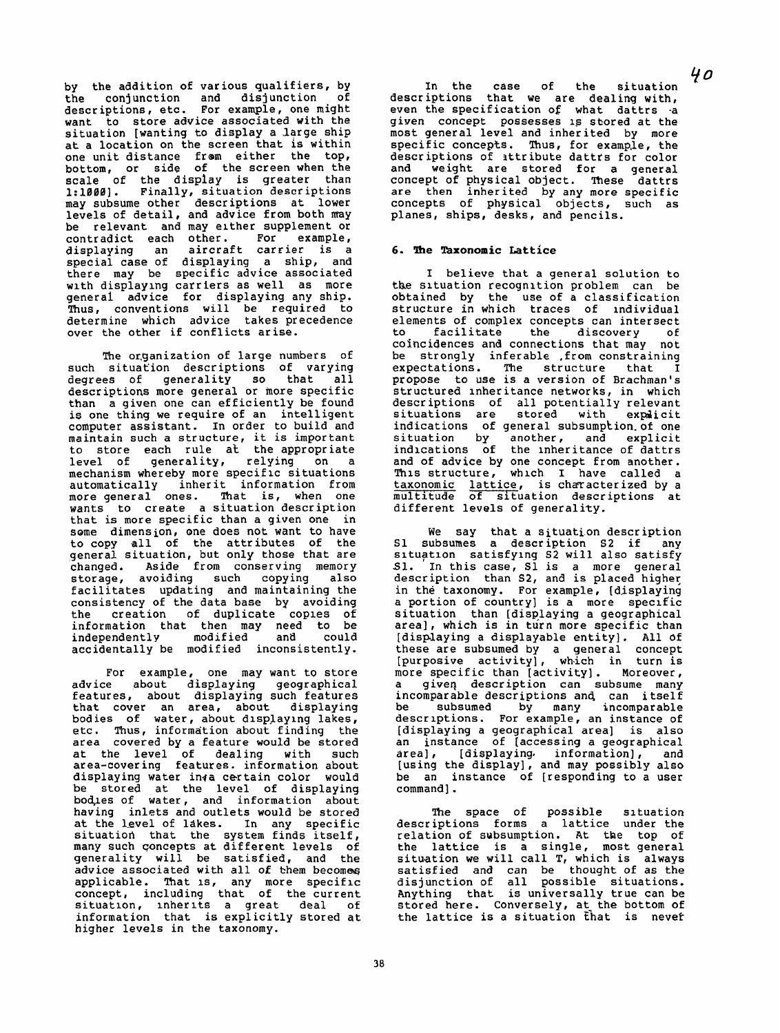**by** the addition of various qualifiers, by conjunction and disjunction descriptions, etc. For example, one might want to store advice associated with the situation [wanting to display a .large ship at a location on the screen that **1s** within one unit distance from either the top, bottom, or **side** of the screen when the scale of the display is greater than **1:1000].** Finally, situation **descriptions**  may subsume other descriptions at lower levels of detail, and advice from both may be relevant and may either supplement or contradict each other. For example, displaying an aircraft carrier is a special case of displaying a ship, and there may be specific advice associated with displaying carriers as well as more general advice for displaying any ship. Thus, conventions will be required to determine which advice takes precedence over the other if conflicts arise.

**The** or,ganization of large numbers of such situation descriptions of varying degrees of generality so that all descriptions more general or more specific than a given one can efficiently be found is one thing we require of an intelligent computer assistant. In order to build and maintain such a structure, it is important to store each rule at the appropriate level of generality, relying on a mechanism whereby more speciflc situations automatically inherit information from more general ones. That is, when one wants to create a situation description that is more specific than a given one in **some** dimension, **one** does not want to have to copy all of the attributes of the general situation, **but** only those that are changed. Aside from conserving memory storage, avoiding such copying also facilitates updating and maintaining the consistency of the data base by avoiding the creation of duplicate coples of information that then may need to be independently modified and could accidentally be modified inconsistently.

In the case of the situation  $40$ descriptions that we are dealing with, even the specification of what dattrs -a **given** concept possesses **1s** skored at the most general level and inherited by more<br>specific concepts. Thus, for example, the descriptions of attribute dattrs for color and weight are stored for a general concept of physical object. **These** dattrs are then inherited by any more **specific**  concepts of physical objects, such as planes, ships, **desks,** and pencils.

For example, one may want to store advice about displayinq geographical features, about displaying such features that cover an area, about displaying bodies of water, about displaying lakes, etc. Thus, information about finding the area covered by a feature would be stored at the level of dealing with such area-covering features. information about displaying water inqa certain color would be stored at the level of displaying bod,les of water, and information about having inlets and outlets would be stored at the level of lakes. In any specific situatiod that the system finds itself, many such concepts at different levels of generality will be satisfied, and the advice associated with all of them becomes applicable. That is, any more specific concept, including that of the current situation, **rnherlts** a great deal of information that is explicitly stored at higher levels in the taxonomy.

The space of possible situation descriptions forms a lattice under the relation of subsumption. **At** the top of the lattice is a single, most general situation we will call T, which is always satisfied and can be thought of as the disjunction of all possible situations. Anything that is universally true can be stored here. Conversely, at the bottom of the lattice is a situation that is never

38

#### **6. lhe Taxonomic Lattice**

I believe that a general solution to the situation recognition problem can be obtained by the use of a classification structure in which traces of individual elements of complex concepts can intersect to facilitate the discovery of coincidences and connections that may not be strongly inferable ,from constraining expectations. The structure that I propose to use is a version of Brachman's structured inher itance networks, in which descr iptions of all potentially relevant situations are stored with explicit indications of general subsumpkion.of one situation by another, and explicit indications of the inheritance of dattrs and of advice by one concept from another. This structure, whlch I have called a taxonomic lattice, is characterized by a multitude of situation descriptions at different levels of generality.

We say that a situation description S1 subsumes a description **S2** if any situation satisfying S2 will also satisfy Sl. In this case, S1 is a more general description than **S2,** and is placed higher in the taxonomy. **For** example, [displaying a portion of country] is a more specific situation than [displaying a geographical area], which is in turn more specific than [displaying a displayable entity]. All **Of**  these are subsumed by a general concept [purposive activity], wh-ich in turn is more specific than [activity] . Moreover, more specific than [activity]. Moreover,<br>a given description can subsume many incomparable descriptions and can itself<br>be subsumed by many incomparable be subsumed by **many** incomparable descriptions. For example, an instance of [displaying a geographical area] is also an instance of [accessing a geographical area], [displaying. information], and [using the display], and may possibly also be an instance of [responding to a user<br>command].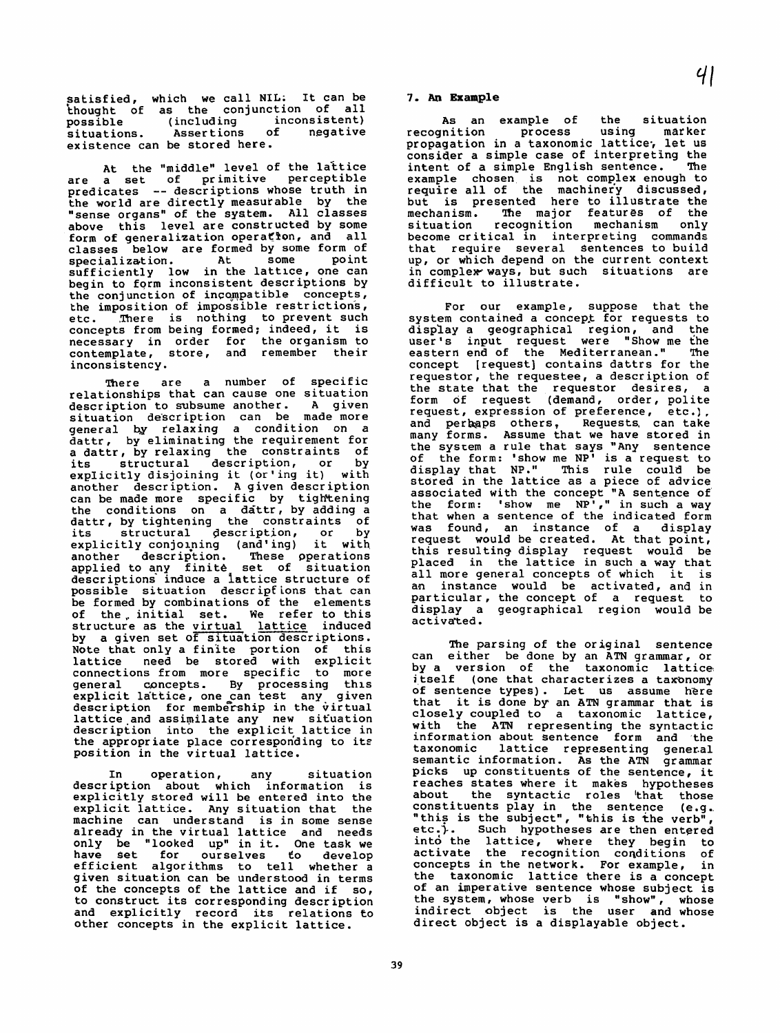satisfied, which we call NIL; It can be thought of as the conjunction of all<br>possible (including inconsistent) possible (including inconsistent)<br>situations. Assertions of negative situations. Assertions existence can be stored here.

At the "middle" level of the lattice<br>are a set of primitive perceptible primitive perceptible predicates -- descriptions whose truth in the world are directly measutable by the "sense organs'' of the system. All classes above this level are constructed by some form of generalization operation, and all classes below are formed by some form of<br>specialization. At some point sufficiently low in the lattlce, one can begin to fgrm inconsistent descriptions by the conjunction of incompatible concepts, the imposition of impossible restrict ions, etc. There is nothing to prevent such concepts from being formed; indeed, it is necessary in order for the organism to contemplate, store, and remember their inconsistency .

There are a number of specific relationships that can cause one situation<br>description to subsume another. A given description to subsume another. situation description can be made more general by relaxing a condition on a dattr, by eliminating the requirement for a dattr, by relaxing the constraints of<br>its structural description, or by its structural description, or explicitly disjoining it (or'ing it) with another descr iption. **A** given description can be made more specific by tightening the conditions on a dattr, by adding a dattr, by tightening the constraints of its structural description, or by its structural description, or by<br>explicitly conjoining (and'ing) it with<br>another description. These operations another description. These operations applied to any finite set of situation descriptions induce a lattice structure of possible situation descripfions that can be formed by combinations of the elements of the,initial set. We refer to this structure as the virtual lattice induced by a given set of situation descriptions. Note that only a finite portion of this lattice need be stored with explicit connections from more specific to more<br>general concepts. By processing this general concepts. By processing this<br>explicit lattice, one can test any given description for membership in the virtual lattice and assimilate any new situation description into the explicit lattice in the appropriate place corresponding to its position in the virtual lattice.

In operation, any situation descr iption about which information is explicitly stored will be entered into the explicit lattice. Any situation that the machine can understand is in some sense already in the virtual lattice and needs only be "looked **up"** in it. One task we have set for ourselves efficient algorithms to tell whether a given situation can be understood in terms of the concepts of the lattice and if so, to construct its corresponding descr ipt ion and explicitly record iks relations **€0**  other concepts in the explicit lattice.

The parsing of the original sentence can either be done by an **ATN** grammar, or by a version of the taxonomic lattice j.tself (one that characterizes a tamnomy of sentence types) . **Let** us assume here that it is done by an **ATN** grammar that is closely coupled to a taxonomic lattice, with the ATN representing the syntactic<br>information about sentence form and the taxonomic lattice representing general semantic information. **As** the **ATN** grammar picks up constituents of the sentence, it reaches states where it makes hypotheses about the syntactic roles 'that those constituents play in the sentence (e.g.. "this is the subject", "this is the verb" etc.). Such hypotheses are then entered intd the lattice, where they begin to activate the recognition conditions of concepts in the network. For example, in the taxonomic lattice there is a concept of an imperative sentence whose subject is the system, whose verb is "show", whose indirect abject is the user and whose direct object is a displayable object.

39

#### **7. An Example**

As an example of the situation recognition process using marker propagation in a taxonomic lattice; let us consider a simple case of interpreting the<br>intent of a simple English sentence. The intent of a simple English sentence. example chosen is not complex enough to require all of **the** machinefy discussed, but is presented here to illustrate the mechanism. The major features of the situation recoghition mechanism only become critical in interpreting commands that require several Sentences to build up, or which depend on the current context in complew ways, but such situations are difficult to illustrate.

For our example, suppose that the system contained a concept for requests to display a geographical region, and the user's input request were "Show me the eastern end of the Mediterranean." The concept [request] contains dattrs for the requestor, the requestee, a description of the state that the requestor desires, a form of request (demand, order, polite request, expression of preference, etc.), and perbaps others, Requests, can take many forms. Assume that we have stored in the system a rule that says "Any sentence of the form: 'show me **NP1** is a request to display that **NP**." stored in the lattice as a piece of advice associated with the concept **"A** sentence of the form: 'show me  $NP'$ ," in such a way that when a sentence of the indicated form was found, an instance of a display request would be created. At that point, this resulting display request would be placed in the lattice in such a way that all more general concepts of which it is an instance would be activated, and in particular, the concept of a request to display a geographical region would be activated.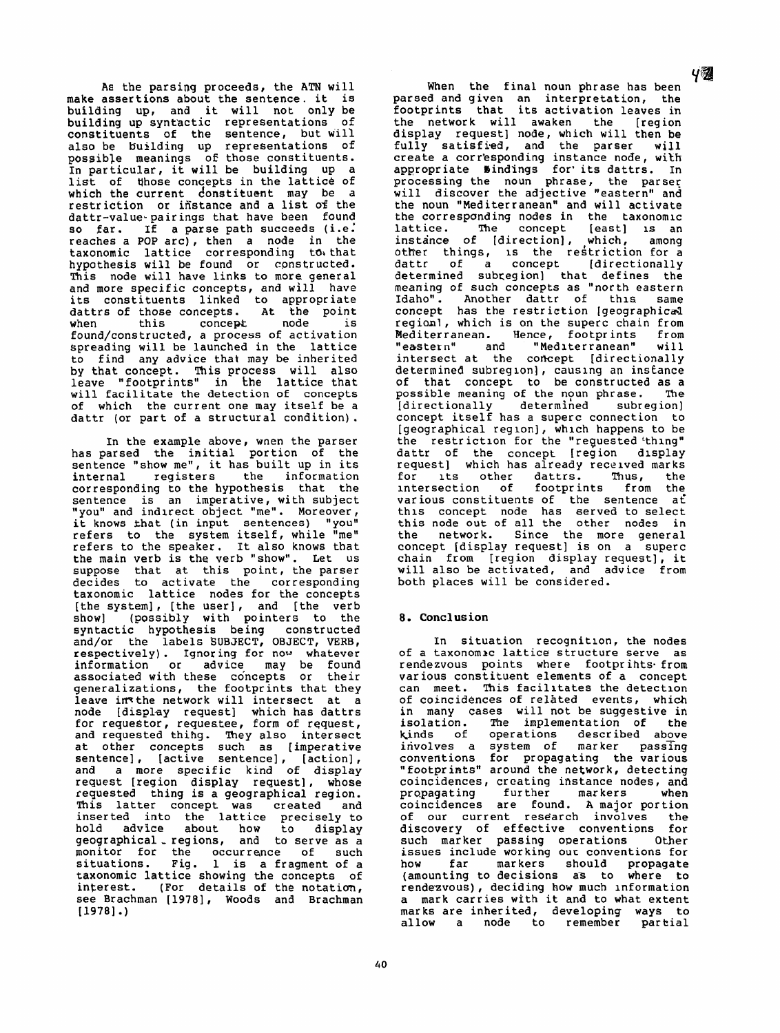**As** the parsinq proceeds, the **ATN** will make assertions about the sentence. it is building **up,** and it will not only be building **up** syntactic representations of constituents of the sentence, but also be building up representations of possible meanings of those constituents. In particular, it will be building up a list of those concepts in the lattice of **which** the current donstituent may be a restriction or instance and a list of the dattr-value. pairings that have been found so far. If a parse path succeeds (i.e. reaches a POP arc) , then a node in the taxonomic lattice corresponding to+ that hypothesis will be found or cpnstructed. **!Chis** node will have links to more general and more specific concepts, and **will** have its constituents linked to appropriate dattrs of those concepts. At the point when this concept node is when this concept node is<br>found/constructed, a process of activation spreading will be launched in the lattice to find any advice that may be inherited by that concept. This process will also leave "footprints" in the lattice that will facilitate **the** detection of concepts of which the current one may itself be a dattr (or part of a structural condition).

In the example above, **wnen** the parser has parsed the initial portion of the sentence "show me", it has built up in its<br>internal registers the information internal registers the information corresponding to the hypothesis that the sentence is an imperative, with subject "you" and indirect object "me". Moreover, it **knows khat** (in input sentences) **"you"**  refers to the system itself, while "me" refers to the speaker. It also knows that the main verb is the verb "show". Let us suppose that at this point, the parser decides to activate the corresponding taxonomic lattice nodes for the concepts [the system], [the user], and [the verb show] (possibly with pointers to the syntactic hypothesis being constructed and/or the labels SUBJECT, OBJECT, VERB, respectively) . Ignor ing **for now whatever**  information or associated with these concepts or their generalizations, the footprints that they leave imthe network will intersect at a node [display request] which has dattrs<br>for requestor, requestee, form of request, for requestor, requestee, form of request,<br>and requested thihg. They also intersect at other concepts such as [imperative sentence], [active sentence], [action],<br>and a more specific kind of display and a more specific **kind** of display request [region display request], whose requested thing is a geographical region. **This** latter concept was created and inserted into the lattice precisely to hold advice about how to display geographical , regions, **and** to serve as a monitor for the occurrence of situations. Fig. 1 is a fragment of a taxonomic lattice showing the concepts of interest. (For details of the notation, **see** Brachman (19781, Woods and Brachman **[I9781** .)

40

When the final noun phrase has been parsed and **given an** interpretation, **the**  footprints that its activation leaves in the network will awaken the [region display request] node, **which** will then be fully satisfied, and the parser will create a corr'esponding instance node, with appropriate bind'ings for' its dattrs. In processing the noun phrase, the parser will discover the adjective "eastern" and the noun "Mediterranean" and will activate the correspanding nodes in the taxonomlc lattice. The concept [east] **1s** an instance of [direction], which, among other things, is the restriction for a dattr of a concept **[directionally** determined subceg ion] that defines **the**  meaning of such concepts as "north eastern Idaho". Another dattr of this same concept has the restriction [geographical regionl, which is on the superc chain from<br>Mediterranean. Hence, footprints from Hence, footprints from "eastern" and "Mediterranean" will intersect at the concept [directionally determined subreg lon] , causlng an instance of that concept to be constructed as a possible **meaning** of the nyun phrase. **'he**  [directionally determined subregion] concept itself has a superc connection to [geographical reglon] , which **happens** to be **the** restr iction for the "reguested 'thing" dattr of the concept [region dlsplay request] which has already received marks for ~ts other dattrs. **Thus,** the intersection of footprints from the various constituents of the sentence at thls concept node has served to select this **node** out **of** all the **other** nodes in the network. Since the more general concept [display request] is on a superc chain from [region display request], it will also be activated, and advice from both places will be considered.

## **8. Conclusion**

In situation recognition, **the** nodes of a taxonomlc **lattice structure serve as**  rendezvous points where footpr ihts. from various constituent elements of a concept can meet. **This** facilitates the detection of coincidences of related events, which in many cases will not be suggestive in isolation. **The** implementation of the kinds **of** operations described above involves a system of marker passing conventions for propagating the various "footprints" **around** the **network,** detecting coincidences, creating instance nodes, **and**  propagating further markers when coincidences are found. **A** major portion of our current research involves the discovery of effective conventions for such marker passing operations Other issues include working ouc conventions for how far markers should propagate (amounting to decisions as to where to rendezvous) , deciding how much information a mark carries with it and to what extent marks are inherited, developing ways to allow a node to remember partial